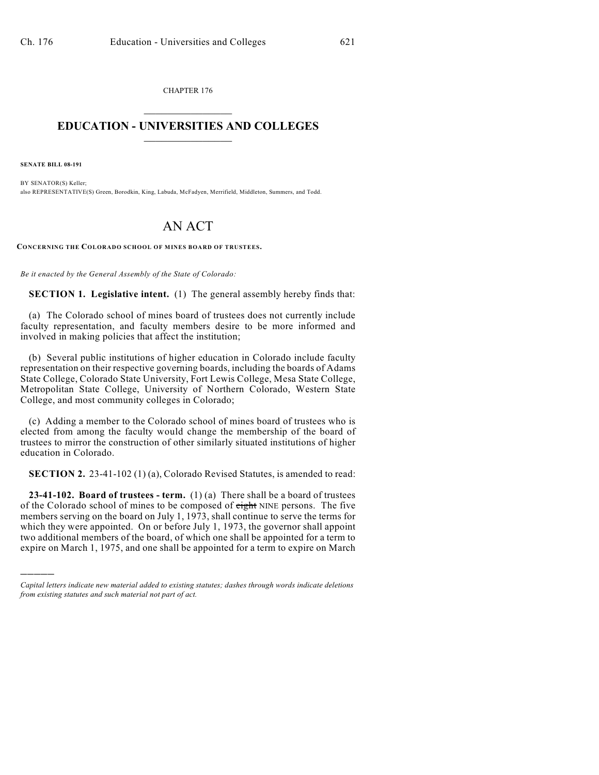CHAPTER 176  $\overline{\phantom{a}}$  . The set of the set of the set of the set of the set of the set of the set of the set of the set of the set of the set of the set of the set of the set of the set of the set of the set of the set of the set o

## **EDUCATION - UNIVERSITIES AND COLLEGES**  $\frac{1}{2}$  ,  $\frac{1}{2}$  ,  $\frac{1}{2}$  ,  $\frac{1}{2}$  ,  $\frac{1}{2}$  ,  $\frac{1}{2}$  ,  $\frac{1}{2}$

**SENATE BILL 08-191**

)))))

BY SENATOR(S) Keller; also REPRESENTATIVE(S) Green, Borodkin, King, Labuda, McFadyen, Merrifield, Middleton, Summers, and Todd.

## AN ACT

**CONCERNING THE COLORADO SCHOOL OF MINES BOARD OF TRUSTEES.**

*Be it enacted by the General Assembly of the State of Colorado:*

**SECTION 1. Legislative intent.** (1) The general assembly hereby finds that:

(a) The Colorado school of mines board of trustees does not currently include faculty representation, and faculty members desire to be more informed and involved in making policies that affect the institution;

(b) Several public institutions of higher education in Colorado include faculty representation on their respective governing boards, including the boards of Adams State College, Colorado State University, Fort Lewis College, Mesa State College, Metropolitan State College, University of Northern Colorado, Western State College, and most community colleges in Colorado;

(c) Adding a member to the Colorado school of mines board of trustees who is elected from among the faculty would change the membership of the board of trustees to mirror the construction of other similarly situated institutions of higher education in Colorado.

**SECTION 2.** 23-41-102 (1) (a), Colorado Revised Statutes, is amended to read:

**23-41-102. Board of trustees - term.** (1) (a) There shall be a board of trustees of the Colorado school of mines to be composed of eight NINE persons. The five members serving on the board on July 1, 1973, shall continue to serve the terms for which they were appointed. On or before July 1, 1973, the governor shall appoint two additional members of the board, of which one shall be appointed for a term to expire on March 1, 1975, and one shall be appointed for a term to expire on March

*Capital letters indicate new material added to existing statutes; dashes through words indicate deletions from existing statutes and such material not part of act.*